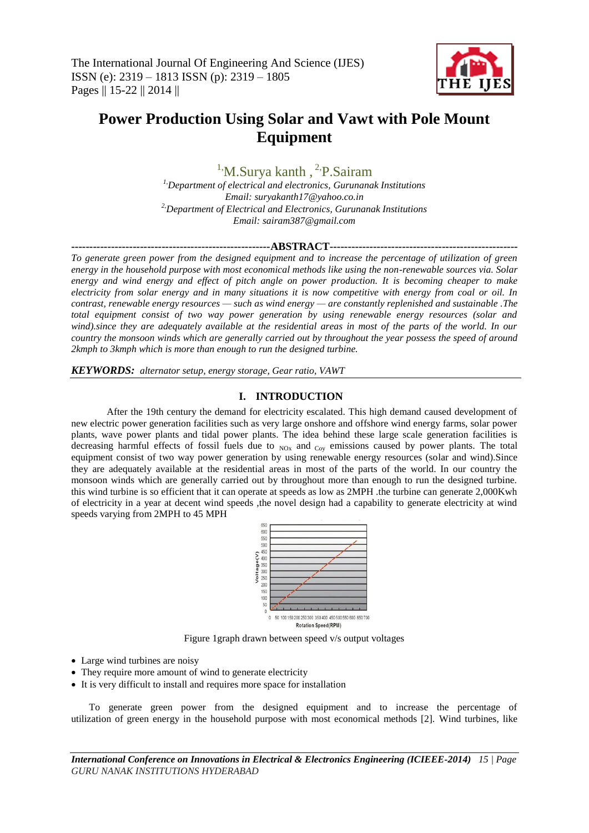

# **Power Production Using Solar and Vawt with Pole Mount Equipment**

<sup>1</sup><sup>,</sup>M.Surya kanth, <sup>2</sup><sup>,</sup>P.Sairam

*1,Department of electrical and electronics, Gurunanak Institutions Email: suryakanth17@yahoo.co.in 2,Department of Electrical and Electronics, Gurunanak Institutions Email: sairam387@gmail.com*

**-------------------------------------------------------ABSTRACT----------------------------------------------------**

*To generate green power from the designed equipment and to increase the percentage of utilization of green energy in the household purpose with most economical methods like using the non-renewable sources via. Solar energy and wind energy and effect of pitch angle on power production. It is becoming cheaper to make electricity from solar energy and in many situations it is now competitive with energy from coal or oil. In contrast, renewable energy resources — such as wind energy — are constantly replenished and sustainable .The total equipment consist of two way power generation by using renewable energy resources (solar and wind).since they are adequately available at the residential areas in most of the parts of the world. In our country the monsoon winds which are generally carried out by throughout the year possess the speed of around 2kmph to 3kmph which is more than enough to run the designed turbine.*

*KEYWORDS: alternator setup, energy storage, Gear ratio, VAWT*

#### **I. INTRODUCTION**

After the 19th century the demand for electricity escalated. This high demand caused development of new electric power generation facilities such as very large onshore and offshore wind energy farms, solar power plants, wave power plants and tidal power plants. The idea behind these large scale generation facilities is decreasing harmful effects of fossil fuels due to  $_{NOX}$  and  $_{Coy}$  emissions caused by power plants. The total equipment consist of two way power generation by using renewable energy resources (solar and wind).Since they are adequately available at the residential areas in most of the parts of the world. In our country the monsoon winds which are generally carried out by throughout more than enough to run the designed turbine. this wind turbine is so efficient that it can operate at speeds as low as 2MPH .the turbine can generate 2,000Kwh of electricity in a year at decent wind speeds ,the novel design had a capability to generate electricity at wind speeds varying from 2MPH to 45 MPH



Figure 1graph drawn between speed v/s output voltages

- Large wind turbines are noisy
- They require more amount of wind to generate electricity
- It is very difficult to install and requires more space for installation

To generate green power from the designed equipment and to increase the percentage of utilization of green energy in the household purpose with most economical methods [2]. Wind turbines, like

*International Conference on Innovations in Electrical & Electronics Engineering (ICIEEE-2014) 15 | Page GURU NANAK INSTITUTIONS HYDERABAD*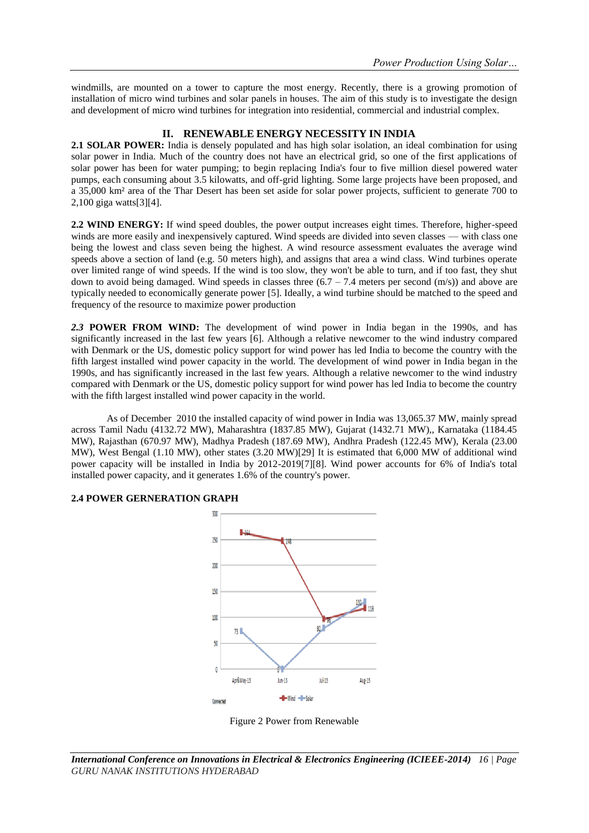windmills, are mounted on a tower to capture the most energy. Recently, there is a growing promotion of installation of micro wind turbines and solar panels in houses. The aim of this study is to investigate the design and development of micro wind turbines for integration into residential, commercial and industrial complex.

# **II. RENEWABLE ENERGY NECESSITY IN INDIA**

**2.1 SOLAR POWER:** India is densely populated and has high solar isolation, an ideal combination for using solar power in India. Much of the country does not have an electrical grid, so one of the first applications of solar power has been for water pumping; to begin replacing India's four to five million diesel powered water pumps, each consuming about 3.5 kilowatts, and off-grid lighting. Some large projects have been proposed, and a 35,000 km² area of the Thar Desert has been set aside for solar power projects, sufficient to generate 700 to 2,100 giga watts[3][4].

**2.2 WIND ENERGY:** If wind speed doubles, the power output increases eight times. Therefore, higher-speed winds are more easily and inexpensively captured. Wind speeds are divided into seven classes — with class one being the lowest and class seven being the highest. A wind resource assessment evaluates the average wind speeds above a section of land (e.g. 50 meters high), and assigns that area a wind class. Wind turbines operate over limited range of wind speeds. If the wind is too slow, they won't be able to turn, and if too fast, they shut down to avoid being damaged. Wind speeds in classes three  $(6.7 - 7.4$  meters per second  $(m/s)$ ) and above are typically needed to economically generate power [5]. Ideally, a wind turbine should be matched to the speed and frequency of the resource to maximize power production

*2.3* **POWER FROM WIND:** The development of wind power in India began in the 1990s, and has significantly increased in the last few years [6]. Although a relative newcomer to the wind industry compared with Denmark or the US, domestic policy support for wind power has led India to become the country with the fifth largest installed wind power capacity in the world. The development of wind power in India began in the 1990s, and has significantly increased in the last few years. Although a relative newcomer to the wind industry compared with Denmark or the US, domestic policy support for wind power has led India to become the country with the fifth largest installed wind power capacity in the world.

As of December 2010 the installed capacity of wind power in India was 13,065.37 MW, mainly spread across Tamil Nadu (4132.72 MW), Maharashtra (1837.85 MW), Gujarat (1432.71 MW),, Karnataka (1184.45 MW), Rajasthan (670.97 MW), Madhya Pradesh (187.69 MW), Andhra Pradesh (122.45 MW), Kerala (23.00 MW), West Bengal (1.10 MW), other states (3.20 MW)[29] It is estimated that 6,000 MW of additional wind power capacity will be installed in India by 2012-2019[7][8]. Wind power accounts for 6% of India's total installed power capacity, and it generates 1.6% of the country's power.

# 300  $150$ 200 150  $100$  $80 73$ 50 Apr&May-13  $Jun-13$  $Ju$  $-13$ Aug-13 -D-Wind -D-Solar Connecter

# **2.4 POWER GERNERATION GRAPH**

Figure 2 Power from Renewable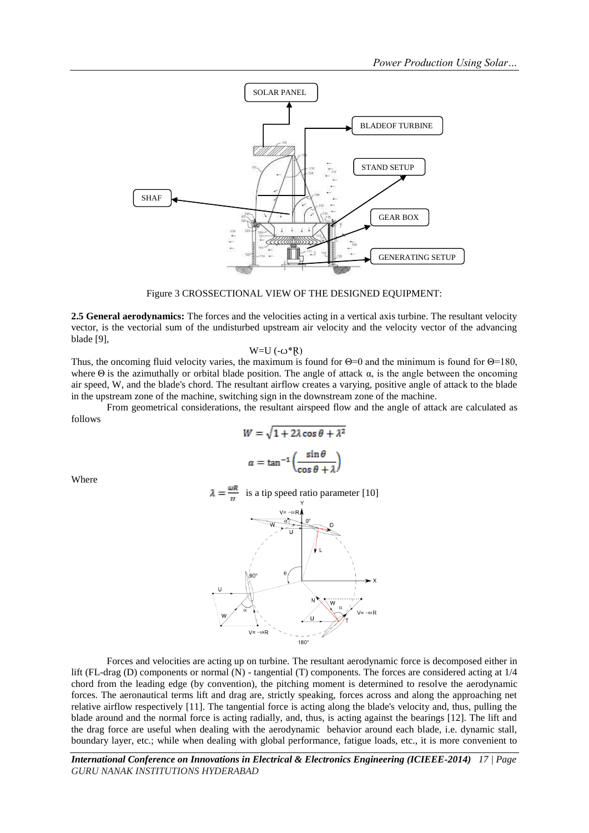

Figure 3 CROSSECTIONAL VIEW OF THE DESIGNED EQUIPMENT:

**2.5 General aerodynamics:** The forces and the velocities acting in a vertical axis turbine. The resultant velocity vector, is the vectorial sum of the undisturbed upstream air velocity and the velocity vector of the advancing blade [9],

$$
W=U\left(-\omega^*R\right)
$$

Thus, the oncoming fluid velocity varies, the maximum is found for  $\Theta = 0$  and the minimum is found for  $\Theta = 180$ , where  $\Theta$  is the azimuthally or orbital blade position. The angle of attack  $\alpha$ , is the angle between the oncoming air speed, W, and the blade's chord. The resultant airflow creates a varying, positive angle of attack to the blade in the upstream zone of the machine, switching sign in the downstream zone of the machine.

From geometrical considerations, the resultant airspeed flow and the angle of attack are calculated as follows

$$
W = \sqrt{1 + 2\lambda \cos \theta + \lambda^2}
$$

$$
\alpha = \tan^{-1} \left( \frac{\sin \theta}{\cos \theta + \lambda} \right)
$$

Where





Forces and velocities are acting up on turbine. The resultant aerodynamic force is decomposed either in lift (FL-drag (D) components or normal (N) - tangential (T) components. The forces are considered acting at 1/4 chord from the leading edge (by convention), the pitching moment is determined to resolve the aerodynamic forces. The aeronautical terms lift and drag are, strictly speaking, forces across and along the approaching net relative airflow respectively [11]. The tangential force is acting along the blade's velocity and, thus, pulling the blade around and the normal force is acting radially, and, thus, is acting against the bearings [12]. The lift and the drag force are useful when dealing with the aerodynamic behavior around each blade, i.e. dynamic stall, boundary layer, etc.; while when dealing with global performance, fatigue loads, etc., it is more convenient to

*International Conference on Innovations in Electrical & Electronics Engineering (ICIEEE-2014) 17 | Page GURU NANAK INSTITUTIONS HYDERABAD*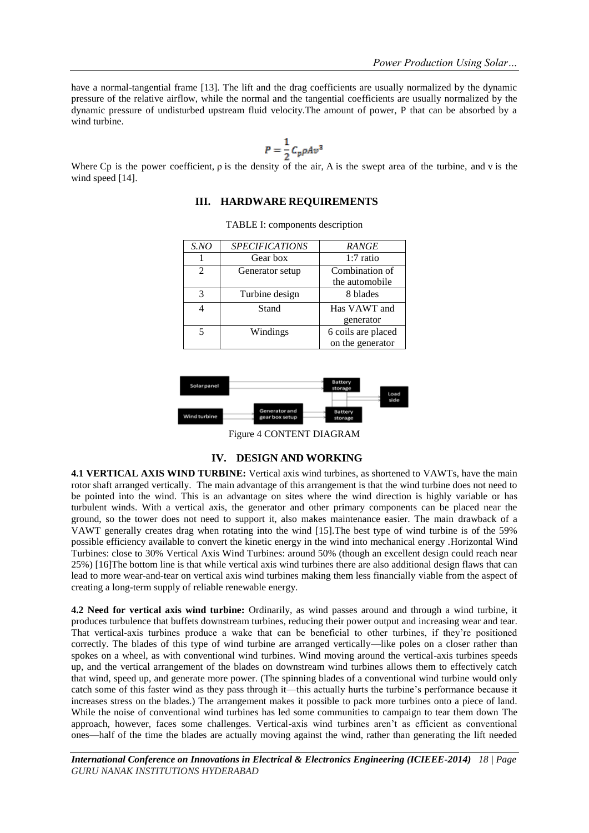have a normal-tangential frame [13]. The lift and the drag coefficients are usually normalized by the dynamic pressure of the relative airflow, while the normal and the tangential coefficients are usually normalized by the dynamic pressure of undisturbed upstream fluid velocity.The amount of power, P that can be absorbed by a wind turbine.

$$
P = \frac{1}{2} C_p \rho A v^3
$$

Where Cp is the power coefficient, ρ is the density of the air, A is the swept area of the turbine, and v is the wind speed [14].

# **III. HARDWARE REQUIREMENTS**

| S.NO           | <b>SPECIFICATIONS</b> | <b>RANGE</b>       |  |
|----------------|-----------------------|--------------------|--|
|                | Gear box              | $1:7$ ratio        |  |
| $\mathfrak{D}$ | Generator setup       | Combination of     |  |
|                |                       | the automobile     |  |
| 3              | Turbine design        | 8 blades           |  |
|                | Stand                 | Has VAWT and       |  |
|                |                       | generator          |  |
| 5              | Windings              | 6 coils are placed |  |
|                |                       | on the generator   |  |

TABLE I: components description



Figure 4 CONTENT DIAGRAM

#### **IV. DESIGN AND WORKING**

**4.1 VERTICAL AXIS WIND TURBINE:** Vertical axis wind turbines, as shortened to VAWTs, have the main rotor shaft arranged vertically. The main advantage of this arrangement is that the wind turbine does not need to be pointed into the wind. This is an advantage on sites where the wind direction is highly variable or has turbulent winds. With a vertical axis, the generator and other primary components can be placed near the ground, so the tower does not need to support it, also makes maintenance easier. The main drawback of a VAWT generally creates drag when rotating into the wind [15].The best type of wind turbine is of the 59% possible efficiency available to convert the kinetic energy in the wind into mechanical energy .Horizontal Wind Turbines: close to 30% Vertical Axis Wind Turbines: around 50% (though an excellent design could reach near 25%) [16]The bottom line is that while vertical axis wind turbines there are also additional design flaws that can lead to more wear-and-tear on vertical axis wind turbines making them less financially viable from the aspect of creating a long-term supply of reliable renewable energy.

**4.2 Need for vertical axis wind turbine:** Ordinarily, as wind passes around and through a wind turbine, it produces turbulence that buffets downstream turbines, reducing their power output and increasing wear and tear. That vertical-axis turbines produce a wake that can be beneficial to other turbines, if they're positioned correctly. The blades of this type of wind turbine are arranged vertically—like poles on a closer rather than spokes on a wheel, as with conventional wind turbines. Wind moving around the vertical-axis turbines speeds up, and the vertical arrangement of the blades on downstream wind turbines allows them to effectively catch that wind, speed up, and generate more power. (The spinning blades of a conventional wind turbine would only catch some of this faster wind as they pass through it—this actually hurts the turbine's performance because it increases stress on the blades.) The arrangement makes it possible to pack more turbines onto a piece of land. While the noise of conventional wind turbines has led some communities to campaign to tear them down The approach, however, faces some challenges. Vertical-axis wind turbines aren't as efficient as conventional ones—half of the time the blades are actually moving against the wind, rather than generating the lift needed

*International Conference on Innovations in Electrical & Electronics Engineering (ICIEEE-2014) 18 | Page GURU NANAK INSTITUTIONS HYDERABAD*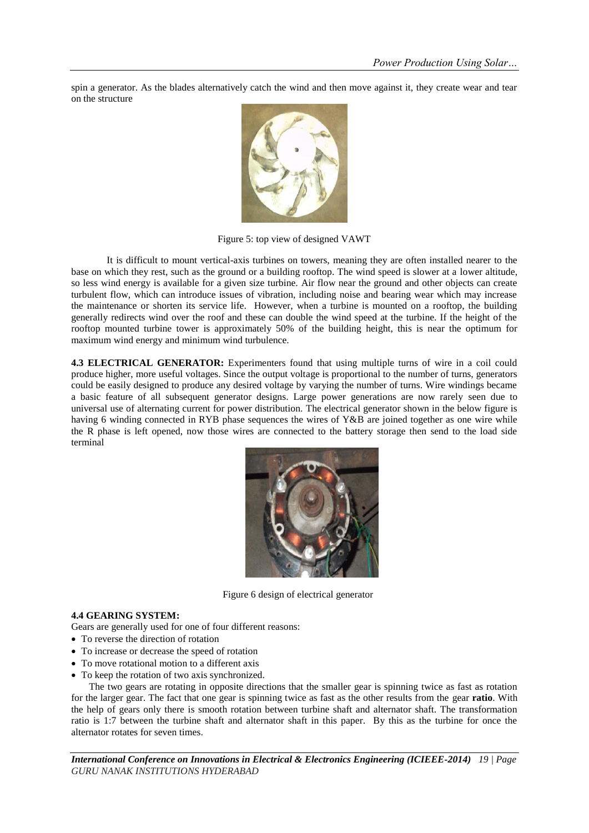spin a generator. As the blades alternatively catch the wind and then move against it, they create wear and tear on the structure



Figure 5: top view of designed VAWT

It is difficult to mount vertical-axis turbines on towers, meaning they are often installed nearer to the base on which they rest, such as the ground or a building rooftop. The wind speed is slower at a lower altitude, so less wind energy is available for a given size turbine. Air flow near the ground and other objects can create turbulent flow, which can introduce issues of vibration, including noise and bearing wear which may increase the maintenance or shorten its service life. However, when a turbine is mounted on a rooftop, the building generally redirects wind over the roof and these can double the wind speed at the turbine. If the height of the rooftop mounted turbine tower is approximately 50% of the building height, this is near the optimum for maximum wind energy and minimum wind turbulence.

**4.3 ELECTRICAL GENERATOR:** Experimenters found that using multiple turns of wire in a coil could produce higher, more useful voltages. Since the output voltage is proportional to the number of turns, generators could be easily designed to produce any desired voltage by varying the number of turns. Wire windings became a basic feature of all subsequent generator designs. Large power generations are now rarely seen due to universal use of alternating current for power distribution. The electrical generator shown in the below figure is having 6 winding connected in RYB phase sequences the wires of Y&B are joined together as one wire while the R phase is left opened, now those wires are connected to the battery storage then send to the load side terminal



Figure 6 design of electrical generator

#### **4.4 GEARING SYSTEM:**

Gears are generally used for one of four different reasons:

- To reverse the direction of rotation
- To increase or decrease the speed of rotation
- To move rotational motion to a different axis
- To keep the rotation of two axis synchronized.

The two gears are rotating in opposite directions that the smaller gear is spinning twice as fast as rotation for the larger gear. The fact that one gear is spinning twice as fast as the other results from the gear **ratio**. With the help of gears only there is smooth rotation between turbine shaft and alternator shaft. The transformation ratio is 1:7 between the turbine shaft and alternator shaft in this paper. By this as the turbine for once the alternator rotates for seven times.

*International Conference on Innovations in Electrical & Electronics Engineering (ICIEEE-2014) 19 | Page GURU NANAK INSTITUTIONS HYDERABAD*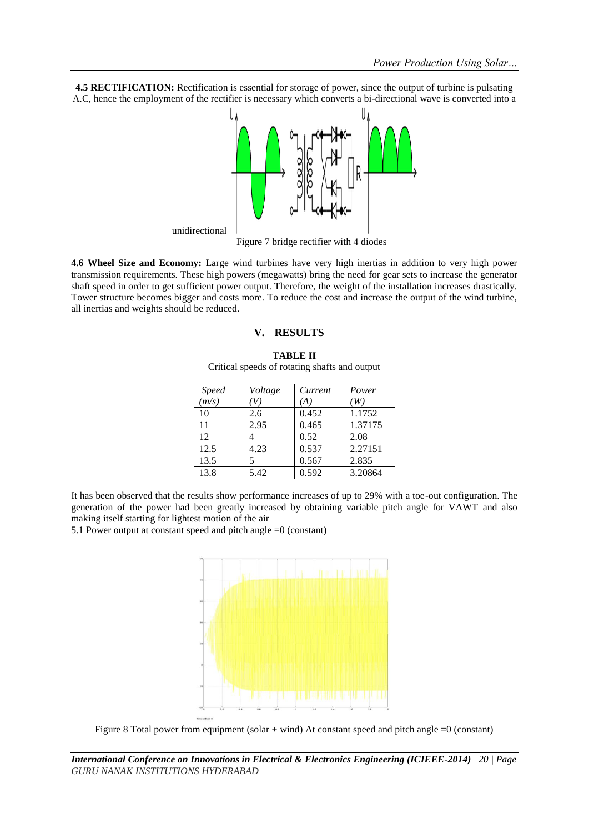**4.5 RECTIFICATION:** Rectification is essential for storage of power, since the output of turbine is pulsating A.C, hence the employment of the rectifier is necessary which converts a bi-directional wave is converted into a



Figure 7 bridge rectifier with 4 diodes

**4.6 Wheel Size and Economy:** Large wind turbines have very high inertias in addition to very high power transmission requirements. These high powers (megawatts) bring the need for gear sets to increase the generator shaft speed in order to get sufficient power output. Therefore, the weight of the installation increases drastically. Tower structure becomes bigger and costs more. To reduce the cost and increase the output of the wind turbine, all inertias and weights should be reduced.

#### **V. RESULTS**

| <b>Speed</b> | Voltage | Current | Power   |
|--------------|---------|---------|---------|
| (m/s)        | 'V)     | ΆJ      | W)      |
| 10           | 2.6     | 0.452   | 1.1752  |
| 11           | 2.95    | 0.465   | 1.37175 |
| 12           |         | 0.52    | 2.08    |
| 12.5         | 4.23    | 0.537   | 2.27151 |
| 13.5         | 5       | 0.567   | 2.835   |
| 13.8         | 5.42    | 0.592   | 3.20864 |

**TABLE II** Critical speeds of rotating shafts and output

It has been observed that the results show performance increases of up to 29% with a toe-out configuration. The generation of the power had been greatly increased by obtaining variable pitch angle for VAWT and also making itself starting for lightest motion of the air

5.1 Power output at constant speed and pitch angle =0 (constant)



Figure 8 Total power from equipment (solar + wind) At constant speed and pitch angle =0 (constant)

*International Conference on Innovations in Electrical & Electronics Engineering (ICIEEE-2014) 20 | Page GURU NANAK INSTITUTIONS HYDERABAD*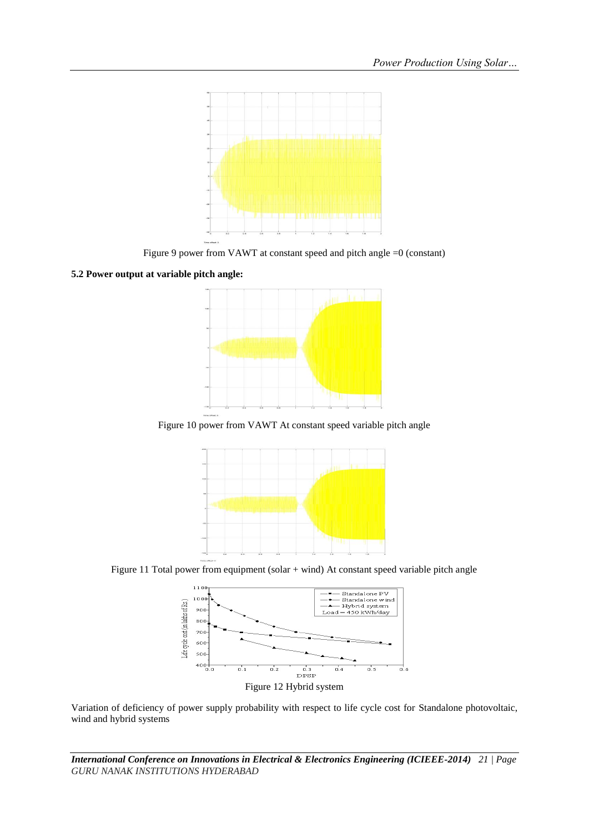

Figure 9 power from VAWT at constant speed and pitch angle =0 (constant)

### **5.2 Power output at variable pitch angle:**



Figure 10 power from VAWT At constant speed variable pitch angle



Figure 11 Total power from equipment (solar + wind) At constant speed variable pitch angle



Figure 12 Hybrid system

Variation of deficiency of power supply probability with respect to life cycle cost for Standalone photovoltaic, wind and hybrid systems

*International Conference on Innovations in Electrical & Electronics Engineering (ICIEEE-2014) 21 | Page GURU NANAK INSTITUTIONS HYDERABAD*